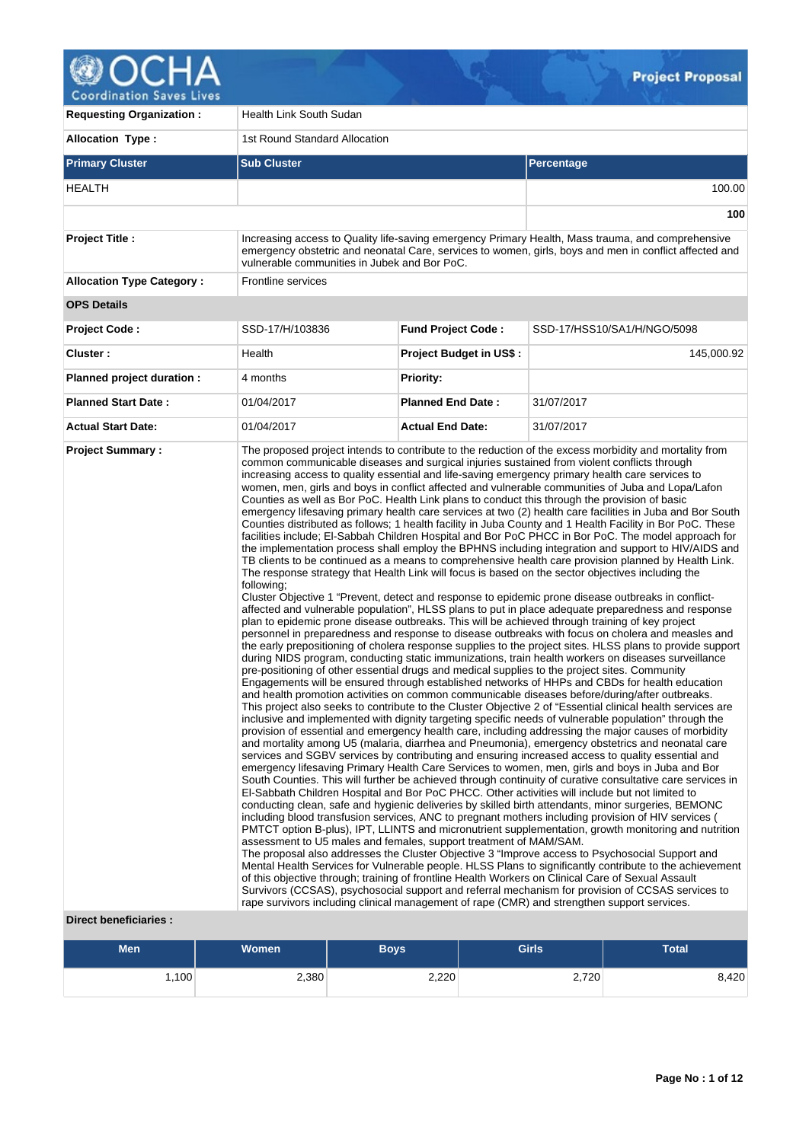

**Requesting Organization :** Health Link South Sudan **Allocation Type :** 1st Round Standard Allocation **Primary Cluster Sub Cluster Sub Cluster** Sub Cluster Sub Cluster Sub Cluster Sub Cluster Sub Cluster Sub Cluster HEALTH 100.00 **100 Project Title :** Increasing access to Quality life-saving emergency Primary Health, Mass trauma, and comprehensive emergency obstetric and neonatal Care, services to women, girls, boys and men in conflict affected and vulnerable communities in Jubek and Bor PoC. **Allocation Type Category : Frontline services OPS Details Project Code :** SSD-17/H/103836 **Fund Project Code :** SSD-17/HSS10/SA1/H/NGO/5098 **Cluster :** 145,000.92 **| Health | Project Budget in US\$ :** 145,000.92 **Planned project duration :** 4 months **Planned Priority: Planned Start Date :** 01/04/2017 **Planned End Date :** 31/07/2017 **Actual Start Date:** 01/04/2017 **Actual End Date:** 31/07/2017 **Project Summary :** The proposed project intends to contribute to the reduction of the excess morbidity and mortality from common communicable diseases and surgical injuries sustained from violent conflicts through increasing access to quality essential and life-saving emergency primary health care services to women, men, girls and boys in conflict affected and vulnerable communities of Juba and Lopa/Lafon Counties as well as Bor PoC. Health Link plans to conduct this through the provision of basic emergency lifesaving primary health care services at two (2) health care facilities in Juba and Bor South Counties distributed as follows; 1 health facility in Juba County and 1 Health Facility in Bor PoC. These facilities include; El-Sabbah Children Hospital and Bor PoC PHCC in Bor PoC. The model approach for the implementation process shall employ the BPHNS including integration and support to HIV/AIDS and TB clients to be continued as a means to comprehensive health care provision planned by Health Link. The response strategy that Health Link will focus is based on the sector objectives including the following; Cluster Objective 1 "Prevent, detect and response to epidemic prone disease outbreaks in conflictaffected and vulnerable population", HLSS plans to put in place adequate preparedness and response plan to epidemic prone disease outbreaks. This will be achieved through training of key project personnel in preparedness and response to disease outbreaks with focus on cholera and measles and the early prepositioning of cholera response supplies to the project sites. HLSS plans to provide support during NIDS program, conducting static immunizations, train health workers on diseases surveillance pre-positioning of other essential drugs and medical supplies to the project sites. Community Engagements will be ensured through established networks of HHPs and CBDs for health education and health promotion activities on common communicable diseases before/during/after outbreaks. This project also seeks to contribute to the Cluster Objective 2 of "Essential clinical health services are inclusive and implemented with dignity targeting specific needs of vulnerable population" through the provision of essential and emergency health care, including addressing the major causes of morbidity and mortality among U5 (malaria, diarrhea and Pneumonia), emergency obstetrics and neonatal care services and SGBV services by contributing and ensuring increased access to quality essential and emergency lifesaving Primary Health Care Services to women, men, girls and boys in Juba and Bor South Counties. This will further be achieved through continuity of curative consultative care services in El-Sabbath Children Hospital and Bor PoC PHCC. Other activities will include but not limited to conducting clean, safe and hygienic deliveries by skilled birth attendants, minor surgeries, BEMONC including blood transfusion services, ANC to pregnant mothers including provision of HIV services ( PMTCT option B-plus), IPT, LLINTS and micronutrient supplementation, growth monitoring and nutrition assessment to U5 males and females, support treatment of MAM/SAM. The proposal also addresses the Cluster Objective 3 "Improve access to Psychosocial Support and Mental Health Services for Vulnerable people. HLSS Plans to significantly contribute to the achievement of this objective through; training of frontline Health Workers on Clinical Care of Sexual Assault Survivors (CCSAS), psychosocial support and referral mechanism for provision of CCSAS services to rape survivors including clinical management of rape (CMR) and strengthen support services.

# **Direct beneficiaries :**

| <b>Men</b> | <b>Women</b> | Boys' | <b>Girls</b> | <b>Total</b> |
|------------|--------------|-------|--------------|--------------|
| ,100       | 2,380        | 2,220 | 2,720        | 8,420        |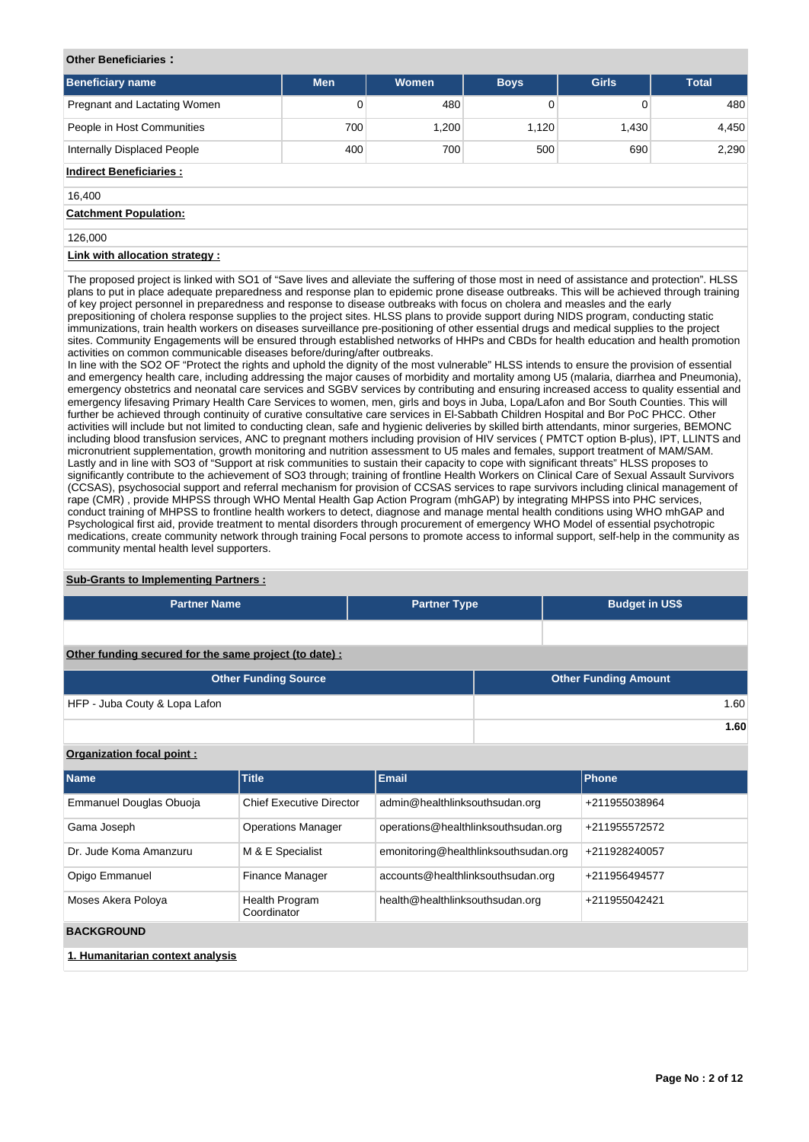#### **Other Beneficiaries :**

| Beneficiary name               | <b>Men</b> | <b>Women</b> | <b>Boys</b> | <b>Girls</b> | <b>Total</b> |
|--------------------------------|------------|--------------|-------------|--------------|--------------|
| Pregnant and Lactating Women   | 0          | 480          |             |              | 480          |
| People in Host Communities     | 700        | 1,200        | 1.120       | 1,430        | 4,450        |
| Internally Displaced People    | 400        | 700          | 500         | 690          | 2,290        |
| <b>Indirect Beneficiaries:</b> |            |              |             |              |              |

#### 16,400

# **Catchment Population:**

126,000

#### **Link with allocation strategy :**

The proposed project is linked with SO1 of "Save lives and alleviate the suffering of those most in need of assistance and protection". HLSS plans to put in place adequate preparedness and response plan to epidemic prone disease outbreaks. This will be achieved through training of key project personnel in preparedness and response to disease outbreaks with focus on cholera and measles and the early prepositioning of cholera response supplies to the project sites. HLSS plans to provide support during NIDS program, conducting static immunizations, train health workers on diseases surveillance pre-positioning of other essential drugs and medical supplies to the project sites. Community Engagements will be ensured through established networks of HHPs and CBDs for health education and health promotion activities on common communicable diseases before/during/after outbreaks.

In line with the SO2 OF "Protect the rights and uphold the dignity of the most vulnerable" HLSS intends to ensure the provision of essential and emergency health care, including addressing the major causes of morbidity and mortality among U5 (malaria, diarrhea and Pneumonia), emergency obstetrics and neonatal care services and SGBV services by contributing and ensuring increased access to quality essential and emergency lifesaving Primary Health Care Services to women, men, girls and boys in Juba, Lopa/Lafon and Bor South Counties. This will further be achieved through continuity of curative consultative care services in El-Sabbath Children Hospital and Bor PoC PHCC. Other activities will include but not limited to conducting clean, safe and hygienic deliveries by skilled birth attendants, minor surgeries, BEMONC including blood transfusion services, ANC to pregnant mothers including provision of HIV services ( PMTCT option B-plus), IPT, LLINTS and micronutrient supplementation, growth monitoring and nutrition assessment to U5 males and females, support treatment of MAM/SAM. Lastly and in line with SO3 of "Support at risk communities to sustain their capacity to cope with significant threats" HLSS proposes to significantly contribute to the achievement of SO3 through; training of frontline Health Workers on Clinical Care of Sexual Assault Survivors (CCSAS), psychosocial support and referral mechanism for provision of CCSAS services to rape survivors including clinical management of rape (CMR) , provide MHPSS through WHO Mental Health Gap Action Program (mhGAP) by integrating MHPSS into PHC services, conduct training of MHPSS to frontline health workers to detect, diagnose and manage mental health conditions using WHO mhGAP and Psychological first aid, provide treatment to mental disorders through procurement of emergency WHO Model of essential psychotropic medications, create community network through training Focal persons to promote access to informal support, self-help in the community as community mental health level supporters.

# **Sub-Grants to Implementing Partners :**

| <b>Partner Name</b>                                    | <b>Partner Type</b> |  | <b>Budget in US\$</b>       |      |  |  |  |  |  |  |  |
|--------------------------------------------------------|---------------------|--|-----------------------------|------|--|--|--|--|--|--|--|
|                                                        |                     |  |                             |      |  |  |  |  |  |  |  |
| Other funding secured for the same project (to date) : |                     |  |                             |      |  |  |  |  |  |  |  |
| <b>Other Funding Source</b>                            |                     |  | <b>Other Funding Amount</b> |      |  |  |  |  |  |  |  |
| HFP - Juba Couty & Lopa Lafon                          |                     |  |                             | 1.60 |  |  |  |  |  |  |  |
|                                                        |                     |  |                             | 1.60 |  |  |  |  |  |  |  |

# **Organization focal point :**

| <b>Name</b>                      | <b>Title</b>                    | <b>Email</b>                         | Phone         |
|----------------------------------|---------------------------------|--------------------------------------|---------------|
| Emmanuel Douglas Obuoja          | <b>Chief Executive Director</b> | admin@healthlinksouthsudan.org       | +211955038964 |
| Gama Joseph                      | <b>Operations Manager</b>       | operations@healthlinksouthsudan.org  | +211955572572 |
| Dr. Jude Koma Amanzuru           | M & E Specialist                | emonitoring@healthlinksouthsudan.org | +211928240057 |
| Opigo Emmanuel                   | <b>Finance Manager</b>          | accounts@healthlinksouthsudan.org    | +211956494577 |
| Moses Akera Poloya               | Health Program<br>Coordinator   | health@healthlinksouthsudan.org      | +211955042421 |
| <b>BACKGROUND</b>                |                                 |                                      |               |
| 1. Humanitarian context analysis |                                 |                                      |               |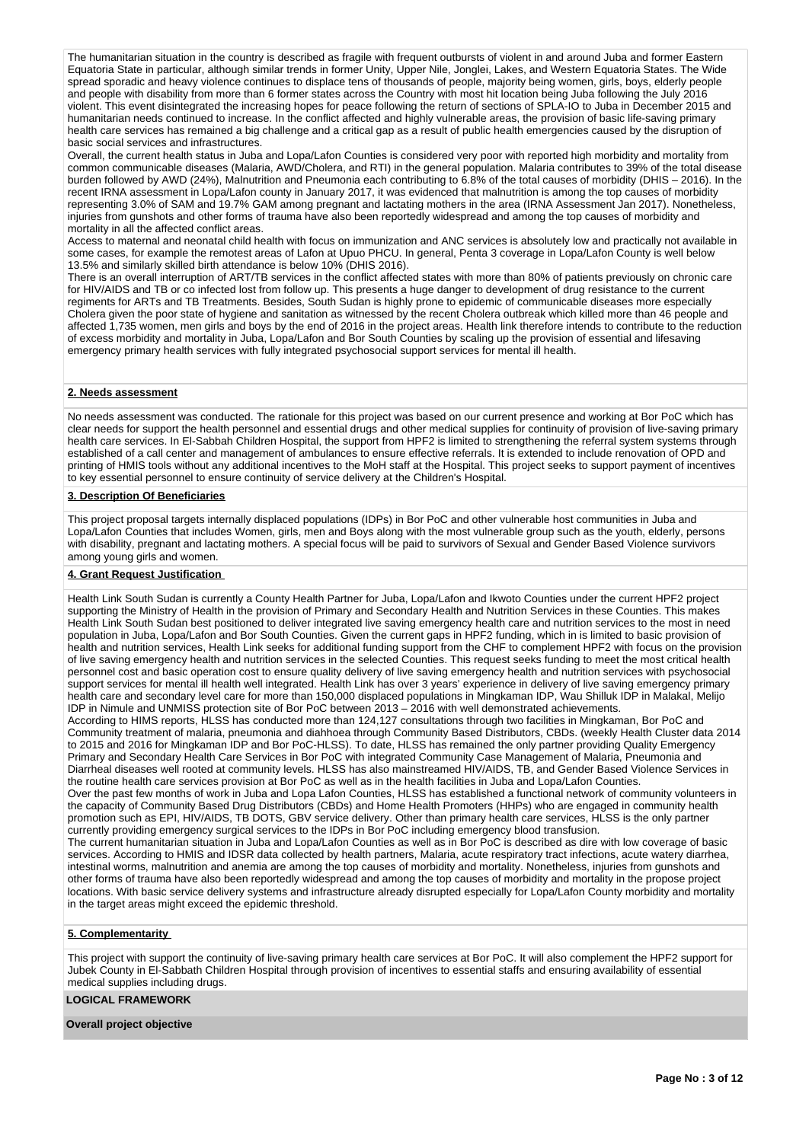The humanitarian situation in the country is described as fragile with frequent outbursts of violent in and around Juba and former Eastern Equatoria State in particular, although similar trends in former Unity, Upper Nile, Jonglei, Lakes, and Western Equatoria States. The Wide spread sporadic and heavy violence continues to displace tens of thousands of people, majority being women, girls, boys, elderly people and people with disability from more than 6 former states across the Country with most hit location being Juba following the July 2016 violent. This event disintegrated the increasing hopes for peace following the return of sections of SPLA-IO to Juba in December 2015 and humanitarian needs continued to increase. In the conflict affected and highly vulnerable areas, the provision of basic life-saving primary health care services has remained a big challenge and a critical gap as a result of public health emergencies caused by the disruption of basic social services and infrastructures.

Overall, the current health status in Juba and Lopa/Lafon Counties is considered very poor with reported high morbidity and mortality from common communicable diseases (Malaria, AWD/Cholera, and RTI) in the general population. Malaria contributes to 39% of the total disease burden followed by AWD (24%), Malnutrition and Pneumonia each contributing to 6.8% of the total causes of morbidity (DHIS – 2016). In the recent IRNA assessment in Lopa/Lafon county in January 2017, it was evidenced that malnutrition is among the top causes of morbidity representing 3.0% of SAM and 19.7% GAM among pregnant and lactating mothers in the area (IRNA Assessment Jan 2017). Nonetheless, injuries from gunshots and other forms of trauma have also been reportedly widespread and among the top causes of morbidity and mortality in all the affected conflict areas.

Access to maternal and neonatal child health with focus on immunization and ANC services is absolutely low and practically not available in some cases, for example the remotest areas of Lafon at Upuo PHCU. In general, Penta 3 coverage in Lopa/Lafon County is well below 13.5% and similarly skilled birth attendance is below 10% (DHIS 2016).

There is an overall interruption of ART/TB services in the conflict affected states with more than 80% of patients previously on chronic care for HIV/AIDS and TB or co infected lost from follow up. This presents a huge danger to development of drug resistance to the current regiments for ARTs and TB Treatments. Besides, South Sudan is highly prone to epidemic of communicable diseases more especially Cholera given the poor state of hygiene and sanitation as witnessed by the recent Cholera outbreak which killed more than 46 people and affected 1,735 women, men girls and boys by the end of 2016 in the project areas. Health link therefore intends to contribute to the reduction of excess morbidity and mortality in Juba, Lopa/Lafon and Bor South Counties by scaling up the provision of essential and lifesaving emergency primary health services with fully integrated psychosocial support services for mental ill health.

# **2. Needs assessment**

No needs assessment was conducted. The rationale for this project was based on our current presence and working at Bor PoC which has clear needs for support the health personnel and essential drugs and other medical supplies for continuity of provision of live-saving primary health care services. In El-Sabbah Children Hospital, the support from HPF2 is limited to strengthening the referral system systems through established of a call center and management of ambulances to ensure effective referrals. It is extended to include renovation of OPD and printing of HMIS tools without any additional incentives to the MoH staff at the Hospital. This project seeks to support payment of incentives to key essential personnel to ensure continuity of service delivery at the Children's Hospital.

#### **3. Description Of Beneficiaries**

This project proposal targets internally displaced populations (IDPs) in Bor PoC and other vulnerable host communities in Juba and Lopa/Lafon Counties that includes Women, girls, men and Boys along with the most vulnerable group such as the youth, elderly, persons with disability, pregnant and lactating mothers. A special focus will be paid to survivors of Sexual and Gender Based Violence survivors among young girls and women.

#### **4. Grant Request Justification**

Health Link South Sudan is currently a County Health Partner for Juba, Lopa/Lafon and Ikwoto Counties under the current HPF2 project supporting the Ministry of Health in the provision of Primary and Secondary Health and Nutrition Services in these Counties. This makes Health Link South Sudan best positioned to deliver integrated live saving emergency health care and nutrition services to the most in need population in Juba, Lopa/Lafon and Bor South Counties. Given the current gaps in HPF2 funding, which in is limited to basic provision of health and nutrition services, Health Link seeks for additional funding support from the CHF to complement HPF2 with focus on the provision of live saving emergency health and nutrition services in the selected Counties. This request seeks funding to meet the most critical health personnel cost and basic operation cost to ensure quality delivery of live saving emergency health and nutrition services with psychosocial support services for mental ill health well integrated. Health Link has over 3 years' experience in delivery of live saving emergency primary health care and secondary level care for more than 150,000 displaced populations in Mingkaman IDP, Wau Shilluk IDP in Malakal, Melijo IDP in Nimule and UNMISS protection site of Bor PoC between 2013 – 2016 with well demonstrated achievements.

According to HIMS reports, HLSS has conducted more than 124,127 consultations through two facilities in Mingkaman, Bor PoC and Community treatment of malaria, pneumonia and diahhoea through Community Based Distributors, CBDs. (weekly Health Cluster data 2014 to 2015 and 2016 for Mingkaman IDP and Bor PoC-HLSS). To date, HLSS has remained the only partner providing Quality Emergency Primary and Secondary Health Care Services in Bor PoC with integrated Community Case Management of Malaria, Pneumonia and Diarrheal diseases well rooted at community levels. HLSS has also mainstreamed HIV/AIDS, TB, and Gender Based Violence Services in the routine health care services provision at Bor PoC as well as in the health facilities in Juba and Lopa/Lafon Counties.

Over the past few months of work in Juba and Lopa Lafon Counties, HLSS has established a functional network of community volunteers in the capacity of Community Based Drug Distributors (CBDs) and Home Health Promoters (HHPs) who are engaged in community health promotion such as EPI, HIV/AIDS, TB DOTS, GBV service delivery. Other than primary health care services, HLSS is the only partner currently providing emergency surgical services to the IDPs in Bor PoC including emergency blood transfusion. The current humanitarian situation in Juba and Lopa/Lafon Counties as well as in Bor PoC is described as dire with low coverage of basic

services. According to HMIS and IDSR data collected by health partners, Malaria, acute respiratory tract infections, acute watery diarrhea, intestinal worms, malnutrition and anemia are among the top causes of morbidity and mortality. Nonetheless, injuries from gunshots and other forms of trauma have also been reportedly widespread and among the top causes of morbidity and mortality in the propose project locations. With basic service delivery systems and infrastructure already disrupted especially for Lopa/Lafon County morbidity and mortality in the target areas might exceed the epidemic threshold.

#### **5. Complementarity**

This project with support the continuity of live-saving primary health care services at Bor PoC. It will also complement the HPF2 support for Jubek County in El-Sabbath Children Hospital through provision of incentives to essential staffs and ensuring availability of essential medical supplies including drugs.

#### **LOGICAL FRAMEWORK**

#### **Overall project objective**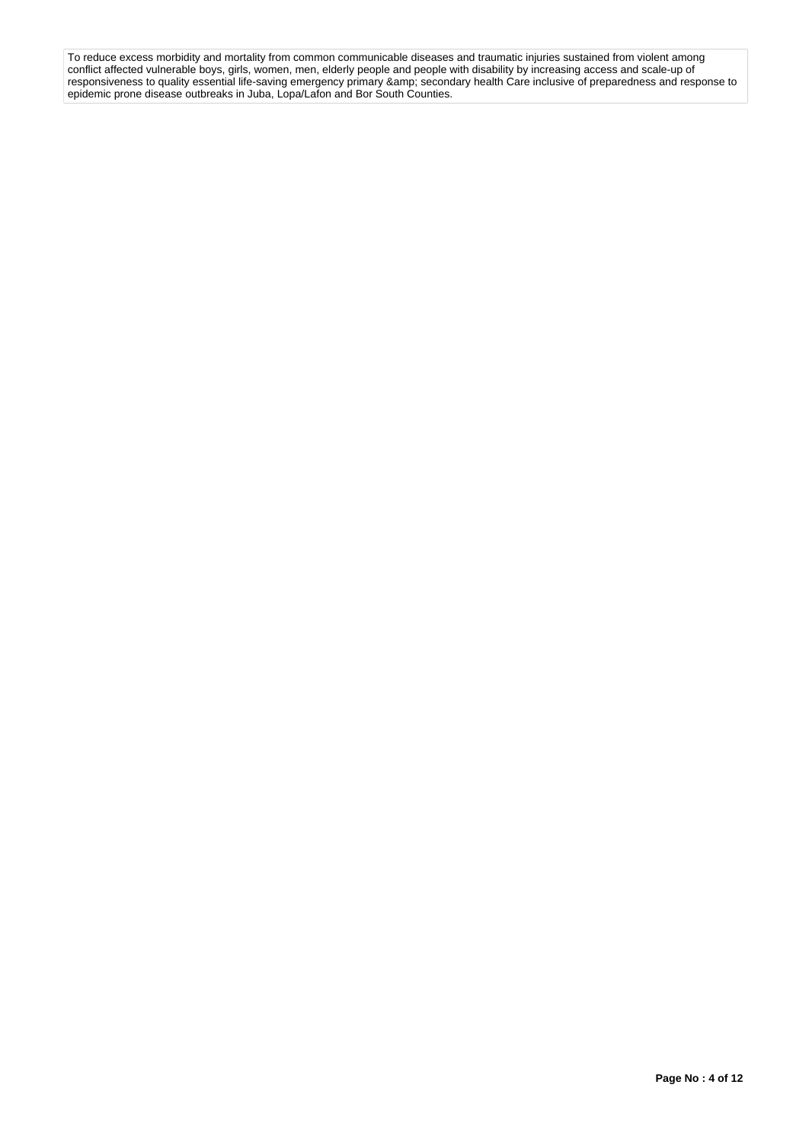To reduce excess morbidity and mortality from common communicable diseases and traumatic injuries sustained from violent among conflict affected vulnerable boys, girls, women, men, elderly people and people with disability by increasing access and scale-up of responsiveness to quality essential life-saving emergency primary & secondary health Care inclusive of preparedness and response to epidemic prone disease outbreaks in Juba, Lopa/Lafon and Bor South Counties.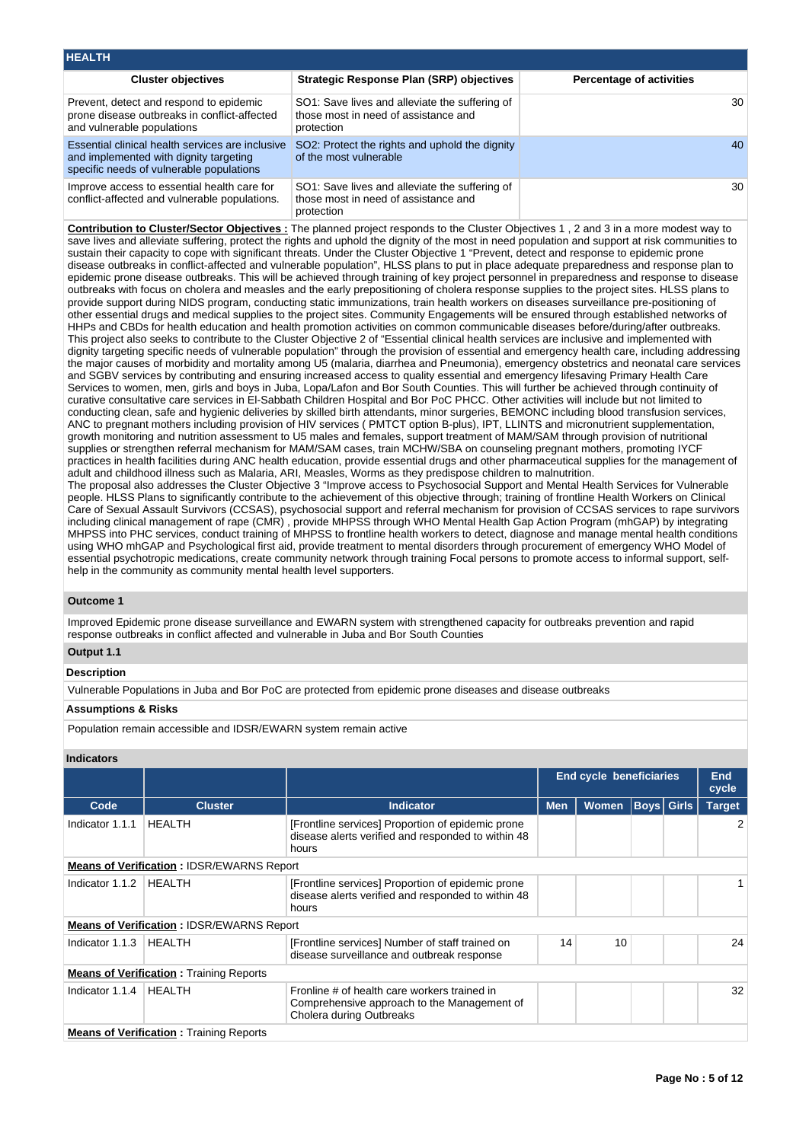| <b>HEALTH</b>                                                                                                                          |                                                                                                      |                                 |
|----------------------------------------------------------------------------------------------------------------------------------------|------------------------------------------------------------------------------------------------------|---------------------------------|
| <b>Cluster objectives</b>                                                                                                              | <b>Strategic Response Plan (SRP) objectives</b>                                                      | <b>Percentage of activities</b> |
| Prevent, detect and respond to epidemic<br>prone disease outbreaks in conflict-affected<br>and vulnerable populations                  | SO1: Save lives and alleviate the suffering of<br>those most in need of assistance and<br>protection | 30                              |
| Essential clinical health services are inclusive<br>and implemented with dignity targeting<br>specific needs of vulnerable populations | SO2: Protect the rights and uphold the dignity<br>of the most vulnerable                             | 40                              |
| Improve access to essential health care for<br>conflict-affected and vulnerable populations.                                           | SO1: Save lives and alleviate the suffering of<br>those most in need of assistance and<br>protection | 30 <sup>°</sup>                 |

**Contribution to Cluster/Sector Objectives :** The planned project responds to the Cluster Objectives 1 , 2 and 3 in a more modest way to save lives and alleviate suffering, protect the rights and uphold the dignity of the most in need population and support at risk communities to sustain their capacity to cope with significant threats. Under the Cluster Objective 1 "Prevent, detect and response to epidemic prone disease outbreaks in conflict-affected and vulnerable population", HLSS plans to put in place adequate preparedness and response plan to epidemic prone disease outbreaks. This will be achieved through training of key project personnel in preparedness and response to disease outbreaks with focus on cholera and measles and the early prepositioning of cholera response supplies to the project sites. HLSS plans to provide support during NIDS program, conducting static immunizations, train health workers on diseases surveillance pre-positioning of other essential drugs and medical supplies to the project sites. Community Engagements will be ensured through established networks of HHPs and CBDs for health education and health promotion activities on common communicable diseases before/during/after outbreaks. This project also seeks to contribute to the Cluster Objective 2 of "Essential clinical health services are inclusive and implemented with dignity targeting specific needs of vulnerable population" through the provision of essential and emergency health care, including addressing the major causes of morbidity and mortality among U5 (malaria, diarrhea and Pneumonia), emergency obstetrics and neonatal care services and SGBV services by contributing and ensuring increased access to quality essential and emergency lifesaving Primary Health Care Services to women, men, girls and boys in Juba, Lopa/Lafon and Bor South Counties. This will further be achieved through continuity of curative consultative care services in El-Sabbath Children Hospital and Bor PoC PHCC. Other activities will include but not limited to conducting clean, safe and hygienic deliveries by skilled birth attendants, minor surgeries, BEMONC including blood transfusion services, ANC to pregnant mothers including provision of HIV services ( PMTCT option B-plus), IPT, LLINTS and micronutrient supplementation, growth monitoring and nutrition assessment to U5 males and females, support treatment of MAM/SAM through provision of nutritional supplies or strengthen referral mechanism for MAM/SAM cases, train MCHW/SBA on counseling pregnant mothers, promoting IYCF practices in health facilities during ANC health education, provide essential drugs and other pharmaceutical supplies for the management of adult and childhood illness such as Malaria, ARI, Measles, Worms as they predispose children to malnutrition. The proposal also addresses the Cluster Objective 3 "Improve access to Psychosocial Support and Mental Health Services for Vulnerable people. HLSS Plans to significantly contribute to the achievement of this objective through; training of frontline Health Workers on Clinical Care of Sexual Assault Survivors (CCSAS), psychosocial support and referral mechanism for provision of CCSAS services to rape survivors

including clinical management of rape (CMR) , provide MHPSS through WHO Mental Health Gap Action Program (mhGAP) by integrating MHPSS into PHC services, conduct training of MHPSS to frontline health workers to detect, diagnose and manage mental health conditions using WHO mhGAP and Psychological first aid, provide treatment to mental disorders through procurement of emergency WHO Model of essential psychotropic medications, create community network through training Focal persons to promote access to informal support, selfhelp in the community as community mental health level supporters.

#### **Outcome 1**

Improved Epidemic prone disease surveillance and EWARN system with strengthened capacity for outbreaks prevention and rapid response outbreaks in conflict affected and vulnerable in Juba and Bor South Counties

# **Output 1.1**

#### **Description**

Vulnerable Populations in Juba and Bor PoC are protected from epidemic prone diseases and disease outbreaks

#### **Assumptions & Risks**

Population remain accessible and IDSR/EWARN system remain active

**Indicators**

|                 |                                                  |                                                                                                                         | <b>End cycle beneficiaries</b> | <b>End</b><br>cycle |               |  |    |
|-----------------|--------------------------------------------------|-------------------------------------------------------------------------------------------------------------------------|--------------------------------|---------------------|---------------|--|----|
| Code            | <b>Cluster</b>                                   | <b>Indicator</b>                                                                                                        | <b>Men</b>                     | <b>Boys</b> Girls   | <b>Target</b> |  |    |
| Indicator 1.1.1 | <b>HEALTH</b>                                    | [Frontline services] Proportion of epidemic prone<br>disease alerts verified and responded to within 48<br>hours        |                                |                     |               |  | 2  |
|                 | <b>Means of Verification: IDSR/EWARNS Report</b> |                                                                                                                         |                                |                     |               |  |    |
| Indicator 1.1.2 | <b>HEALTH</b>                                    | [Frontline services] Proportion of epidemic prone<br>disease alerts verified and responded to within 48<br>hours        |                                |                     |               |  |    |
|                 | <b>Means of Verification: IDSR/EWARNS Report</b> |                                                                                                                         |                                |                     |               |  |    |
| Indicator 1.1.3 | HEALTH                                           | [Frontline services] Number of staff trained on<br>disease surveillance and outbreak response                           | 14                             | 10                  |               |  | 24 |
|                 | <b>Means of Verification: Training Reports</b>   |                                                                                                                         |                                |                     |               |  |    |
| Indicator 1.1.4 | <b>HEALTH</b>                                    | Fronline # of health care workers trained in<br>Comprehensive approach to the Management of<br>Cholera during Outbreaks |                                |                     |               |  | 32 |
|                 | <b>Means of Verification:</b> Training Reports   |                                                                                                                         |                                |                     |               |  |    |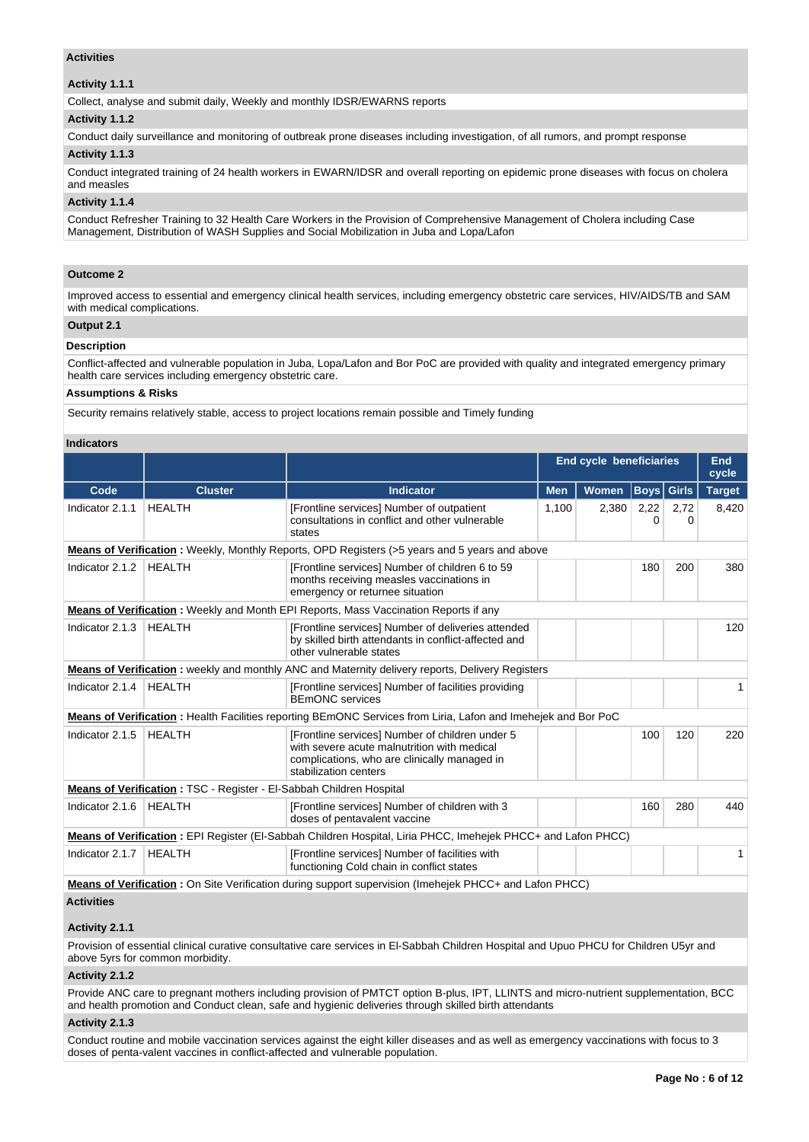# **Activities**

## **Activity 1.1.1**

Collect, analyse and submit daily, Weekly and monthly IDSR/EWARNS reports

## **Activity 1.1.2**

Conduct daily surveillance and monitoring of outbreak prone diseases including investigation, of all rumors, and prompt response

# **Activity 1.1.3**

Conduct integrated training of 24 health workers in EWARN/IDSR and overall reporting on epidemic prone diseases with focus on cholera and measles

# **Activity 1.1.4**

Conduct Refresher Training to 32 Health Care Workers in the Provision of Comprehensive Management of Cholera including Case Management, Distribution of WASH Supplies and Social Mobilization in Juba and Lopa/Lafon

# **Outcome 2**

Improved access to essential and emergency clinical health services, including emergency obstetric care services, HIV/AIDS/TB and SAM with medical complications.

# **Output 2.1**

#### **Description**

Conflict-affected and vulnerable population in Juba, Lopa/Lafon and Bor PoC are provided with quality and integrated emergency primary health care services including emergency obstetric care.

# **Assumptions & Risks**

Security remains relatively stable, access to project locations remain possible and Timely funding

#### **Indicators**

|                 |                                                                            |                                                                                                                                                                         | <b>End cycle beneficiaries</b> |       |           |              | End<br>cycle  |
|-----------------|----------------------------------------------------------------------------|-------------------------------------------------------------------------------------------------------------------------------------------------------------------------|--------------------------------|-------|-----------|--------------|---------------|
| Code            | <b>Cluster</b>                                                             | <b>Indicator</b>                                                                                                                                                        | <b>Men</b>                     | Women | Boys      | <b>Girls</b> | <b>Target</b> |
| Indicator 2.1.1 | <b>HEALTH</b>                                                              | [Frontline services] Number of outpatient<br>consultations in conflict and other vulnerable<br>states                                                                   | 1,100                          | 2,380 | 2,22<br>0 | 2,72<br>0    | 8,420         |
|                 |                                                                            | <b>Means of Verification:</b> Weekly, Monthly Reports, OPD Registers (>5 years and 5 years and above                                                                    |                                |       |           |              |               |
| Indicator 2.1.2 | <b>HEALTH</b>                                                              | [Frontline services] Number of children 6 to 59<br>months receiving measles vaccinations in<br>emergency or returnee situation                                          |                                |       | 180       | 200          | 380           |
|                 |                                                                            | <b>Means of Verification</b> : Weekly and Month EPI Reports, Mass Vaccination Reports if any                                                                            |                                |       |           |              |               |
| Indicator 2.1.3 | <b>HEALTH</b>                                                              | [Frontline services] Number of deliveries attended<br>by skilled birth attendants in conflict-affected and<br>other vulnerable states                                   |                                |       |           |              | 120           |
|                 |                                                                            | Means of Verification: weekly and monthly ANC and Maternity delivery reports, Delivery Registers                                                                        |                                |       |           |              |               |
| Indicator 2.1.4 | <b>HEALTH</b>                                                              | [Frontline services] Number of facilities providing<br><b>BEmONC</b> services                                                                                           |                                |       |           |              |               |
|                 |                                                                            | Means of Verification: Health Facilities reporting BEmONC Services from Liria, Lafon and Imehejek and Bor PoC                                                           |                                |       |           |              |               |
| Indicator 2.1.5 | <b>HEALTH</b>                                                              | [Frontline services] Number of children under 5<br>with severe acute malnutrition with medical<br>complications, who are clinically managed in<br>stabilization centers |                                |       | 100       | 120          | 220           |
|                 | <b>Means of Verification: TSC - Register - El-Sabbah Children Hospital</b> |                                                                                                                                                                         |                                |       |           |              |               |
| Indicator 2.1.6 | <b>HEALTH</b>                                                              | [Frontline services] Number of children with 3<br>doses of pentavalent vaccine                                                                                          |                                |       | 160       | 280          | 440           |
|                 |                                                                            | Means of Verification: EPI Register (EI-Sabbah Children Hospital, Liria PHCC, Imehejek PHCC+ and Lafon PHCC)                                                            |                                |       |           |              |               |
| Indicator 2.1.7 | <b>HEALTH</b>                                                              | [Frontline services] Number of facilities with<br>functioning Cold chain in conflict states                                                                             |                                |       |           |              | 1             |
|                 |                                                                            | <b>Means of Verification</b> : On Site Verification during support supervision (Imehejek PHCC+ and Lafon PHCC)                                                          |                                |       |           |              |               |

**Activities**

### **Activity 2.1.1**

Provision of essential clinical curative consultative care services in El-Sabbah Children Hospital and Upuo PHCU for Children U5yr and above 5yrs for common morbidity.

# **Activity 2.1.2**

Provide ANC care to pregnant mothers including provision of PMTCT option B-plus, IPT, LLINTS and micro-nutrient supplementation, BCC and health promotion and Conduct clean, safe and hygienic deliveries through skilled birth attendants

# **Activity 2.1.3**

Conduct routine and mobile vaccination services against the eight killer diseases and as well as emergency vaccinations with focus to 3 doses of penta-valent vaccines in conflict-affected and vulnerable population.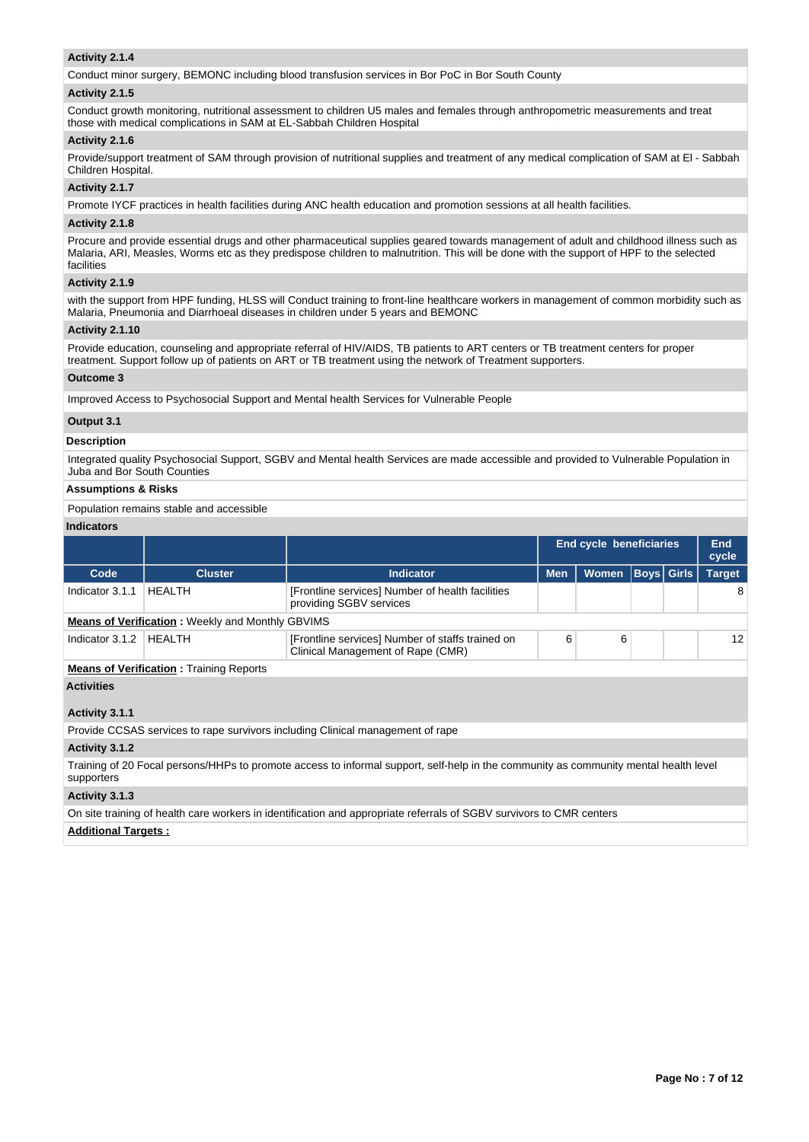# **Activity 2.1.4**

Conduct minor surgery, BEMONC including blood transfusion services in Bor PoC in Bor South County

#### **Activity 2.1.5**

Conduct growth monitoring, nutritional assessment to children U5 males and females through anthropometric measurements and treat those with medical complications in SAM at EL-Sabbah Children Hospital

# **Activity 2.1.6**

Provide/support treatment of SAM through provision of nutritional supplies and treatment of any medical complication of SAM at EI - Sabbah Children Hospital.

# **Activity 2.1.7**

Promote IYCF practices in health facilities during ANC health education and promotion sessions at all health facilities.

# **Activity 2.1.8**

Procure and provide essential drugs and other pharmaceutical supplies geared towards management of adult and childhood illness such as Malaria, ARI, Measles, Worms etc as they predispose children to malnutrition. This will be done with the support of HPF to the selected facilities

# **Activity 2.1.9**

with the support from HPF funding, HLSS will Conduct training to front-line healthcare workers in management of common morbidity such as Malaria, Pneumonia and Diarrhoeal diseases in children under 5 years and BEMONC

#### **Activity 2.1.10**

Provide education, counseling and appropriate referral of HIV/AIDS, TB patients to ART centers or TB treatment centers for proper treatment. Support follow up of patients on ART or TB treatment using the network of Treatment supporters.

# **Outcome 3**

Improved Access to Psychosocial Support and Mental health Services for Vulnerable People

## **Output 3.1**

#### **Description**

Integrated quality Psychosocial Support, SGBV and Mental health Services are made accessible and provided to Vulnerable Population in Juba and Bor South Counties

#### **Assumptions & Risks**

Population remains stable and accessible

# **Indicators**

|                                                         |                                                                                                                                      |                                                                                | <b>End cycle beneficiaries</b> |              |  |             | <b>End</b><br>cycle |  |  |  |  |
|---------------------------------------------------------|--------------------------------------------------------------------------------------------------------------------------------------|--------------------------------------------------------------------------------|--------------------------------|--------------|--|-------------|---------------------|--|--|--|--|
| Code                                                    | <b>Cluster</b>                                                                                                                       | <b>Indicator</b>                                                               | <b>Men</b>                     | <b>Women</b> |  | Boys  Girls | <b>Target</b>       |  |  |  |  |
| Indicator 3.1.1                                         | <b>HEALTH</b>                                                                                                                        | [Frontline services] Number of health facilities<br>providing SGBV services    |                                |              |  |             | 8                   |  |  |  |  |
| <b>Means of Verification:</b> Weekly and Monthly GBVIMS |                                                                                                                                      |                                                                                |                                |              |  |             |                     |  |  |  |  |
| Indicator 3.1.2                                         | <b>HEALTH</b>                                                                                                                        | 6                                                                              | 6                              |              |  | 12          |                     |  |  |  |  |
|                                                         | <b>Means of Verification: Training Reports</b>                                                                                       |                                                                                |                                |              |  |             |                     |  |  |  |  |
| <b>Activities</b>                                       |                                                                                                                                      |                                                                                |                                |              |  |             |                     |  |  |  |  |
| Activity 3.1.1                                          |                                                                                                                                      |                                                                                |                                |              |  |             |                     |  |  |  |  |
|                                                         |                                                                                                                                      | Provide CCSAS services to rape survivors including Clinical management of rape |                                |              |  |             |                     |  |  |  |  |
| Activity 3.1.2                                          |                                                                                                                                      |                                                                                |                                |              |  |             |                     |  |  |  |  |
| supporters                                              | Training of 20 Focal persons/HHPs to promote access to informal support, self-help in the community as community mental health level |                                                                                |                                |              |  |             |                     |  |  |  |  |

#### **Activity 3.1.3**

On site training of health care workers in identification and appropriate referrals of SGBV survivors to CMR centers

**Additional Targets :**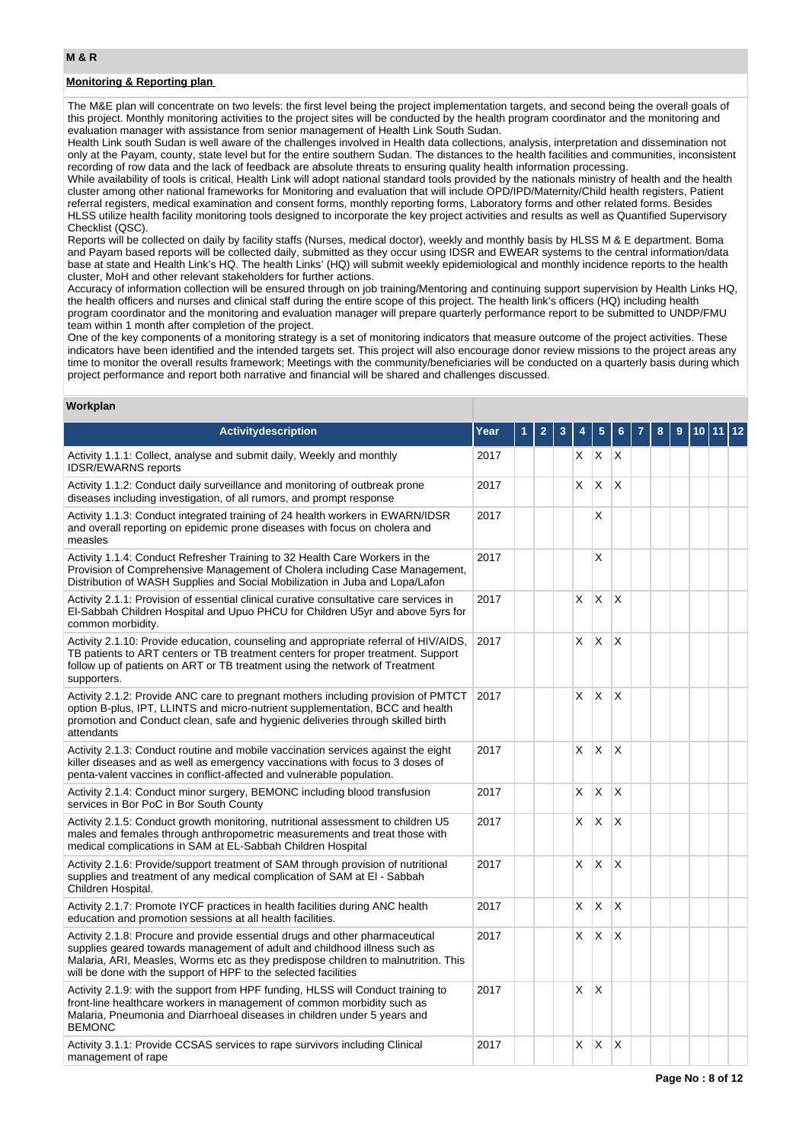# **Monitoring & Reporting plan**

The M&E plan will concentrate on two levels: the first level being the project implementation targets, and second being the overall goals of this project. Monthly monitoring activities to the project sites will be conducted by the health program coordinator and the monitoring and evaluation manager with assistance from senior management of Health Link South Sudan.

Health Link south Sudan is well aware of the challenges involved in Health data collections, analysis, interpretation and dissemination not only at the Payam, county, state level but for the entire southern Sudan. The distances to the health facilities and communities, inconsistent recording of row data and the lack of feedback are absolute threats to ensuring quality health information processing.

While availability of tools is critical, Health Link will adopt national standard tools provided by the nationals ministry of health and the health cluster among other national frameworks for Monitoring and evaluation that will include OPD/IPD/Maternity/Child health registers, Patient referral registers, medical examination and consent forms, monthly reporting forms, Laboratory forms and other related forms. Besides HLSS utilize health facility monitoring tools designed to incorporate the key project activities and results as well as Quantified Supervisory Checklist (QSC).

Reports will be collected on daily by facility staffs (Nurses, medical doctor), weekly and monthly basis by HLSS M & E department. Boma and Payam based reports will be collected daily, submitted as they occur using IDSR and EWEAR systems to the central information/data base at state and Health Link's HQ. The health Links' (HQ) will submit weekly epidemiological and monthly incidence reports to the health cluster, MoH and other relevant stakeholders for further actions.

Accuracy of information collection will be ensured through on job training/Mentoring and continuing support supervision by Health Links HQ, the health officers and nurses and clinical staff during the entire scope of this project. The health link's officers (HQ) including health program coordinator and the monitoring and evaluation manager will prepare quarterly performance report to be submitted to UNDP/FMU team within 1 month after completion of the project.

One of the key components of a monitoring strategy is a set of monitoring indicators that measure outcome of the project activities. These indicators have been identified and the intended targets set. This project will also encourage donor review missions to the project areas any time to monitor the overall results framework; Meetings with the community/beneficiaries will be conducted on a quarterly basis during which project performance and report both narrative and financial will be shared and challenges discussed.

#### **Workplan**

| <b>Activitydescription</b>                                                                                                                                                                                                                                                                                         | Year |  |    |          |          |  |  |  |
|--------------------------------------------------------------------------------------------------------------------------------------------------------------------------------------------------------------------------------------------------------------------------------------------------------------------|------|--|----|----------|----------|--|--|--|
| Activity 1.1.1: Collect, analyse and submit daily, Weekly and monthly<br><b>IDSR/EWARNS</b> reports                                                                                                                                                                                                                | 2017 |  | X  | X        | X        |  |  |  |
| Activity 1.1.2: Conduct daily surveillance and monitoring of outbreak prone<br>diseases including investigation, of all rumors, and prompt response                                                                                                                                                                | 2017 |  | X. | X        | X        |  |  |  |
| Activity 1.1.3: Conduct integrated training of 24 health workers in EWARN/IDSR<br>and overall reporting on epidemic prone diseases with focus on cholera and<br>measles                                                                                                                                            | 2017 |  |    | X        |          |  |  |  |
| Activity 1.1.4: Conduct Refresher Training to 32 Health Care Workers in the<br>Provision of Comprehensive Management of Cholera including Case Management,<br>Distribution of WASH Supplies and Social Mobilization in Juba and Lopa/Lafon                                                                         | 2017 |  |    | X        |          |  |  |  |
| Activity 2.1.1: Provision of essential clinical curative consultative care services in<br>El-Sabbah Children Hospital and Upuo PHCU for Children U5yr and above 5yrs for<br>common morbidity.                                                                                                                      | 2017 |  | X. | X        | X        |  |  |  |
| Activity 2.1.10: Provide education, counseling and appropriate referral of HIV/AIDS,<br>TB patients to ART centers or TB treatment centers for proper treatment. Support<br>follow up of patients on ART or TB treatment using the network of Treatment<br>supporters.                                             | 2017 |  | X. | $\times$ | $\times$ |  |  |  |
| Activity 2.1.2: Provide ANC care to pregnant mothers including provision of PMTCT<br>option B-plus, IPT, LLINTS and micro-nutrient supplementation, BCC and health<br>promotion and Conduct clean, safe and hygienic deliveries through skilled birth<br>attendants                                                | 2017 |  | X. | $\times$ | X        |  |  |  |
| Activity 2.1.3: Conduct routine and mobile vaccination services against the eight<br>killer diseases and as well as emergency vaccinations with focus to 3 doses of<br>penta-valent vaccines in conflict-affected and vulnerable population.                                                                       | 2017 |  | X. | $\times$ | X        |  |  |  |
| Activity 2.1.4: Conduct minor surgery, BEMONC including blood transfusion<br>services in Bor PoC in Bor South County                                                                                                                                                                                               | 2017 |  | X  | X        | X        |  |  |  |
| Activity 2.1.5: Conduct growth monitoring, nutritional assessment to children U5<br>males and females through anthropometric measurements and treat those with<br>medical complications in SAM at EL-Sabbah Children Hospital                                                                                      | 2017 |  | X  | X        | X        |  |  |  |
| Activity 2.1.6: Provide/support treatment of SAM through provision of nutritional<br>supplies and treatment of any medical complication of SAM at EI - Sabbah<br>Children Hospital.                                                                                                                                | 2017 |  | X. | X        | X        |  |  |  |
| Activity 2.1.7: Promote IYCF practices in health facilities during ANC health<br>education and promotion sessions at all health facilities.                                                                                                                                                                        | 2017 |  | X. | X        | X        |  |  |  |
| Activity 2.1.8: Procure and provide essential drugs and other pharmaceutical<br>supplies geared towards management of adult and childhood illness such as<br>Malaria, ARI, Measles, Worms etc as they predispose children to malnutrition. This<br>will be done with the support of HPF to the selected facilities | 2017 |  | X. | $\times$ | $\times$ |  |  |  |
| Activity 2.1.9: with the support from HPF funding, HLSS will Conduct training to<br>front-line healthcare workers in management of common morbidity such as<br>Malaria, Pneumonia and Diarrhoeal diseases in children under 5 years and<br><b>BEMONC</b>                                                           | 2017 |  | X. | X        |          |  |  |  |
| Activity 3.1.1: Provide CCSAS services to rape survivors including Clinical<br>management of rape                                                                                                                                                                                                                  | 2017 |  | X  | X        | X        |  |  |  |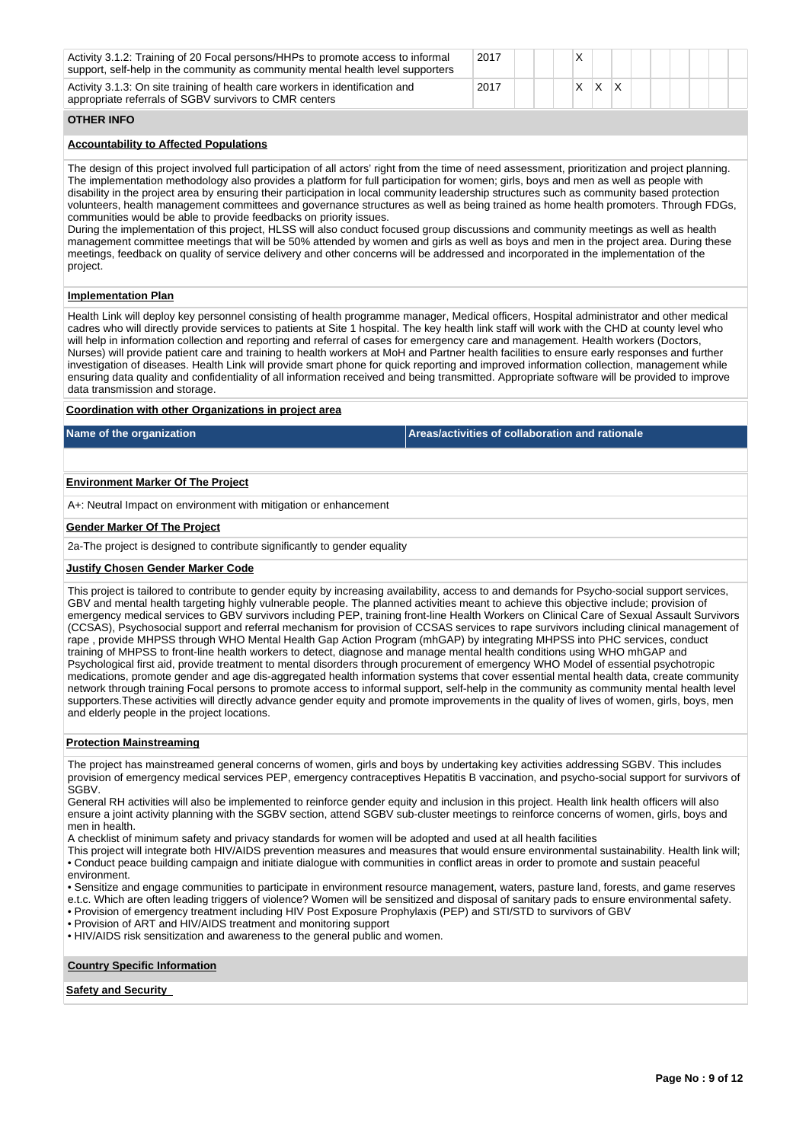| Activity 3.1.2: Training of 20 Focal persons/HHPs to promote access to informal<br>support, self-help in the community as community mental health level supporters                                                                                                                                                                                                                                                                                                                                                                                                                                                                                                                                                                                                                                                                                                                                                                                                                                                                                                                        | 2017 |  | X  |              |          |  |  |
|-------------------------------------------------------------------------------------------------------------------------------------------------------------------------------------------------------------------------------------------------------------------------------------------------------------------------------------------------------------------------------------------------------------------------------------------------------------------------------------------------------------------------------------------------------------------------------------------------------------------------------------------------------------------------------------------------------------------------------------------------------------------------------------------------------------------------------------------------------------------------------------------------------------------------------------------------------------------------------------------------------------------------------------------------------------------------------------------|------|--|----|--------------|----------|--|--|
| Activity 3.1.3: On site training of health care workers in identification and<br>appropriate referrals of SGBV survivors to CMR centers                                                                                                                                                                                                                                                                                                                                                                                                                                                                                                                                                                                                                                                                                                                                                                                                                                                                                                                                                   | 2017 |  | X. | $\mathsf{X}$ | $\times$ |  |  |
| <b>OTHER INFO</b>                                                                                                                                                                                                                                                                                                                                                                                                                                                                                                                                                                                                                                                                                                                                                                                                                                                                                                                                                                                                                                                                         |      |  |    |              |          |  |  |
| <b>Accountability to Affected Populations</b>                                                                                                                                                                                                                                                                                                                                                                                                                                                                                                                                                                                                                                                                                                                                                                                                                                                                                                                                                                                                                                             |      |  |    |              |          |  |  |
| The design of this project involved full participation of all actors' right from the time of need assessment, prioritization and project planning.<br>The implementation methodology also provides a platform for full participation for women; girls, boys and men as well as people with<br>disability in the project area by ensuring their participation in local community leadership structures such as community based protection<br>volunteers, health management committees and governance structures as well as being trained as home health promoters. Through FDGs,<br>communities would be able to provide feedbacks on priority issues.<br>During the implementation of this project, HLSS will also conduct focused group discussions and community meetings as well as health<br>management committee meetings that will be 50% attended by women and girls as well as boys and men in the project area. During these<br>meetings, feedback on quality of service delivery and other concerns will be addressed and incorporated in the implementation of the<br>project. |      |  |    |              |          |  |  |
| <b>Implementation Plan</b>                                                                                                                                                                                                                                                                                                                                                                                                                                                                                                                                                                                                                                                                                                                                                                                                                                                                                                                                                                                                                                                                |      |  |    |              |          |  |  |
| Health Link will deploy key personnel consisting of health programme manager, Medical officers, Hospital administrator and other medical<br>cadres who will directly provide services to patients at Site 1 hospital. The key health link staff will work with the CHD at county level who<br>will help in information collection and reporting and referral of cases for emergency care and management. Health workers (Doctors,<br>Nurses) will provide patient care and training to health workers at MoH and Partner health facilities to ensure early responses and further<br>investigation of diseases. Health Link will provide smart phone for quick reporting and improved information collection, management while<br>ensuring data quality and confidentiality of all information received and being transmitted. Appropriate software will be provided to improve<br>data transmission and storage.                                                                                                                                                                          |      |  |    |              |          |  |  |
| Coordination with other Organizations in project area                                                                                                                                                                                                                                                                                                                                                                                                                                                                                                                                                                                                                                                                                                                                                                                                                                                                                                                                                                                                                                     |      |  |    |              |          |  |  |
| Name of the organization<br>Areas/activities of collaboration and rationale                                                                                                                                                                                                                                                                                                                                                                                                                                                                                                                                                                                                                                                                                                                                                                                                                                                                                                                                                                                                               |      |  |    |              |          |  |  |
|                                                                                                                                                                                                                                                                                                                                                                                                                                                                                                                                                                                                                                                                                                                                                                                                                                                                                                                                                                                                                                                                                           |      |  |    |              |          |  |  |
| <b>Environment Marker Of The Project</b>                                                                                                                                                                                                                                                                                                                                                                                                                                                                                                                                                                                                                                                                                                                                                                                                                                                                                                                                                                                                                                                  |      |  |    |              |          |  |  |
| A+: Neutral Impact on environment with mitigation or enhancement                                                                                                                                                                                                                                                                                                                                                                                                                                                                                                                                                                                                                                                                                                                                                                                                                                                                                                                                                                                                                          |      |  |    |              |          |  |  |
| <b>Gender Marker Of The Project</b>                                                                                                                                                                                                                                                                                                                                                                                                                                                                                                                                                                                                                                                                                                                                                                                                                                                                                                                                                                                                                                                       |      |  |    |              |          |  |  |
| 2a-The project is designed to contribute significantly to gender equality                                                                                                                                                                                                                                                                                                                                                                                                                                                                                                                                                                                                                                                                                                                                                                                                                                                                                                                                                                                                                 |      |  |    |              |          |  |  |
| <b>Justify Chosen Gender Marker Code</b>                                                                                                                                                                                                                                                                                                                                                                                                                                                                                                                                                                                                                                                                                                                                                                                                                                                                                                                                                                                                                                                  |      |  |    |              |          |  |  |
| This project is tailored to contribute to gender equity by increasing availability, access to and demands for Psycho-social support services,<br>GBV and mental health targeting highly vulnerable people. The planned activities meant to achieve this objective include; provision of<br>emergency medical services to GBV survivors including PEP, training front-line Health Workers on Clinical Care of Sexual Assault Survivors<br>(CCSAS), Psychosocial support and referral mechanism for provision of CCSAS services to rape survivors including clinical management of<br>rape, provide MHPSS through WHO Mental Health Gap Action Program (mhGAP) by integrating MHPSS into PHC services, conduct<br>training of MHPSS to front-line health workers to detect, diagnose and manage mental health conditions using WHO mhGAP and                                                                                                                                                                                                                                                |      |  |    |              |          |  |  |

Psychological first aid, provide treatment to mental disorders through procurement of emergency WHO Model of essential psychotropic medications, promote gender and age dis-aggregated health information systems that cover essential mental health data, create community network through training Focal persons to promote access to informal support, self-help in the community as community mental health level supporters.These activities will directly advance gender equity and promote improvements in the quality of lives of women, girls, boys, men and elderly people in the project locations.

# **Protection Mainstreaming**

The project has mainstreamed general concerns of women, girls and boys by undertaking key activities addressing SGBV. This includes provision of emergency medical services PEP, emergency contraceptives Hepatitis B vaccination, and psycho-social support for survivors of SGBV.

General RH activities will also be implemented to reinforce gender equity and inclusion in this project. Health link health officers will also ensure a joint activity planning with the SGBV section, attend SGBV sub-cluster meetings to reinforce concerns of women, girls, boys and men in health.

A checklist of minimum safety and privacy standards for women will be adopted and used at all health facilities

This project will integrate both HIV/AIDS prevention measures and measures that would ensure environmental sustainability. Health link will; • Conduct peace building campaign and initiate dialogue with communities in conflict areas in order to promote and sustain peaceful environment.

• Sensitize and engage communities to participate in environment resource management, waters, pasture land, forests, and game reserves

e.t.c. Which are often leading triggers of violence? Women will be sensitized and disposal of sanitary pads to ensure environmental safety.

• Provision of emergency treatment including HIV Post Exposure Prophylaxis (PEP) and STI/STD to survivors of GBV

• Provision of ART and HIV/AIDS treatment and monitoring support

• HIV/AIDS risk sensitization and awareness to the general public and women.

#### **Country Specific Information**

# **Safety and Security**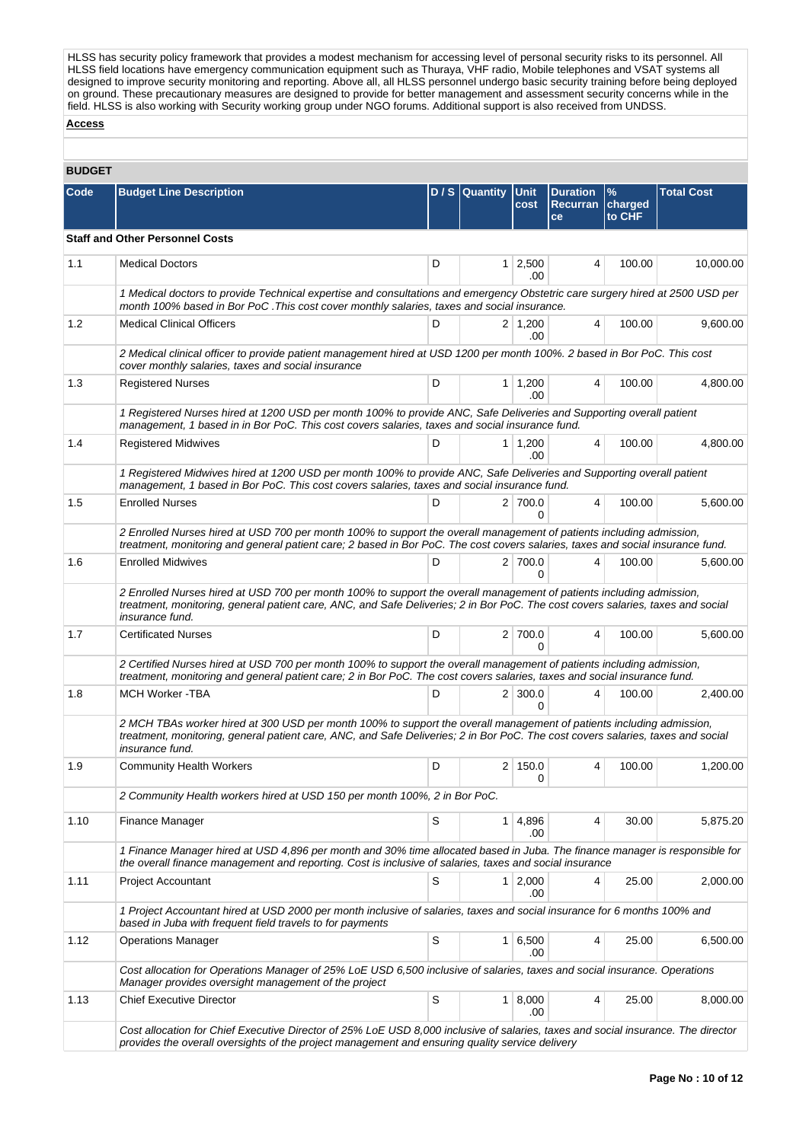HLSS has security policy framework that provides a modest mechanism for accessing level of personal security risks to its personnel. All HLSS field locations have emergency communication equipment such as Thuraya, VHF radio, Mobile telephones and VSAT systems all designed to improve security monitoring and reporting. Above all, all HLSS personnel undergo basic security training before being deployed on ground. These precautionary measures are designed to provide for better management and assessment security concerns while in the field. HLSS is also working with Security working group under NGO forums. Additional support is also received from UNDSS.

# **Access**

# **BUDGET**

| Code | <b>Budget Line Description</b>                                                                                                                                                                                                                                             |   | D / S Quantity Unit | cost                       | <b>Duration</b><br>Recurran charged | $\%$   | <b>Total Cost</b> |  |  |  |  |  |  |  |
|------|----------------------------------------------------------------------------------------------------------------------------------------------------------------------------------------------------------------------------------------------------------------------------|---|---------------------|----------------------------|-------------------------------------|--------|-------------------|--|--|--|--|--|--|--|
|      |                                                                                                                                                                                                                                                                            |   |                     |                            | ce                                  | to CHF |                   |  |  |  |  |  |  |  |
|      | <b>Staff and Other Personnel Costs</b>                                                                                                                                                                                                                                     |   |                     |                            |                                     |        |                   |  |  |  |  |  |  |  |
| 1.1  | <b>Medical Doctors</b>                                                                                                                                                                                                                                                     | D |                     | $1 \ 2,500$<br>.00         | 4                                   | 100.00 | 10,000.00         |  |  |  |  |  |  |  |
|      | 1 Medical doctors to provide Technical expertise and consultations and emergency Obstetric care surgery hired at 2500 USD per<br>month 100% based in Bor PoC . This cost cover monthly salaries, taxes and social insurance.                                               |   |                     |                            |                                     |        |                   |  |  |  |  |  |  |  |
| 1.2  | <b>Medical Clinical Officers</b>                                                                                                                                                                                                                                           | D |                     | $2 \mid 1,200$<br>.00      | 4                                   | 100.00 | 9,600.00          |  |  |  |  |  |  |  |
|      | 2 Medical clinical officer to provide patient management hired at USD 1200 per month 100%. 2 based in Bor PoC. This cost<br>cover monthly salaries, taxes and social insurance                                                                                             |   |                     |                            |                                     |        |                   |  |  |  |  |  |  |  |
| 1.3  | <b>Registered Nurses</b>                                                                                                                                                                                                                                                   | D |                     | $1 \mid 1,200$<br>.00      | 4                                   | 100.00 | 4,800.00          |  |  |  |  |  |  |  |
|      | 1 Registered Nurses hired at 1200 USD per month 100% to provide ANC, Safe Deliveries and Supporting overall patient<br>management, 1 based in in Bor PoC. This cost covers salaries, taxes and social insurance fund.                                                      |   |                     |                            |                                     |        |                   |  |  |  |  |  |  |  |
| 1.4  | <b>Registered Midwives</b>                                                                                                                                                                                                                                                 | D |                     | $1 \mid 1,200$<br>.00      | 4                                   | 100.00 | 4.800.00          |  |  |  |  |  |  |  |
|      | 1 Registered Midwives hired at 1200 USD per month 100% to provide ANC, Safe Deliveries and Supporting overall patient<br>management, 1 based in Bor PoC. This cost covers salaries, taxes and social insurance fund.                                                       |   |                     |                            |                                     |        |                   |  |  |  |  |  |  |  |
| 1.5  | <b>Enrolled Nurses</b>                                                                                                                                                                                                                                                     | D |                     | 2 700.0<br>0               | 4                                   | 100.00 | 5,600.00          |  |  |  |  |  |  |  |
|      | 2 Enrolled Nurses hired at USD 700 per month 100% to support the overall management of patients including admission,<br>treatment, monitoring and general patient care; 2 based in Bor PoC. The cost covers salaries, taxes and social insurance fund.                     |   |                     |                            |                                     |        |                   |  |  |  |  |  |  |  |
| 1.6  | <b>Enrolled Midwives</b>                                                                                                                                                                                                                                                   | D |                     | $2$ 700.0<br>$\Omega$      | 4                                   | 100.00 | 5,600.00          |  |  |  |  |  |  |  |
|      | 2 Enrolled Nurses hired at USD 700 per month 100% to support the overall management of patients including admission,<br>treatment, monitoring, general patient care, ANC, and Safe Deliveries; 2 in Bor PoC. The cost covers salaries, taxes and social<br>insurance fund. |   |                     |                            |                                     |        |                   |  |  |  |  |  |  |  |
| 1.7  | <b>Certificated Nurses</b>                                                                                                                                                                                                                                                 | D |                     | 2 700.0<br>$\Omega$        | 4                                   | 100.00 | 5,600.00          |  |  |  |  |  |  |  |
|      | 2 Certified Nurses hired at USD 700 per month 100% to support the overall management of patients including admission,<br>treatment, monitoring and general patient care; 2 in Bor PoC. The cost covers salaries, taxes and social insurance fund.                          |   |                     |                            |                                     |        |                   |  |  |  |  |  |  |  |
| 1.8  | <b>MCH Worker -TBA</b>                                                                                                                                                                                                                                                     | D |                     | $2 \mid 300.0$<br>$\Omega$ | 4                                   | 100.00 | 2,400.00          |  |  |  |  |  |  |  |
|      | 2 MCH TBAs worker hired at 300 USD per month 100% to support the overall management of patients including admission,<br>treatment, monitoring, general patient care, ANC, and Safe Deliveries; 2 in Bor PoC. The cost covers salaries, taxes and social<br>insurance fund. |   |                     |                            |                                     |        |                   |  |  |  |  |  |  |  |
| 1.9  | <b>Community Health Workers</b>                                                                                                                                                                                                                                            | D |                     | 2 150.0<br>0               | 4                                   | 100.00 | 1,200.00          |  |  |  |  |  |  |  |
|      | 2 Community Health workers hired at USD 150 per month 100%, 2 in Bor PoC.                                                                                                                                                                                                  |   |                     |                            |                                     |        |                   |  |  |  |  |  |  |  |
| 1.10 | Finance Manager                                                                                                                                                                                                                                                            | S | 1 <sup>1</sup>      | 4,896<br>.00               | 4                                   | 30.00  | 5,875.20          |  |  |  |  |  |  |  |
|      | 1 Finance Manager hired at USD 4.896 per month and 30% time allocated based in Juba. The finance manager is responsible for<br>the overall finance management and reporting. Cost is inclusive of salaries, taxes and social insurance                                     |   |                     |                            |                                     |        |                   |  |  |  |  |  |  |  |
| 1.11 | <b>Project Accountant</b>                                                                                                                                                                                                                                                  | S |                     | $1 \ 2,000$<br>.00         | 4                                   | 25.00  | 2,000.00          |  |  |  |  |  |  |  |
|      | 1 Project Accountant hired at USD 2000 per month inclusive of salaries, taxes and social insurance for 6 months 100% and<br>based in Juba with frequent field travels to for payments                                                                                      |   |                     |                            |                                     |        |                   |  |  |  |  |  |  |  |
| 1.12 | <b>Operations Manager</b>                                                                                                                                                                                                                                                  | S |                     | $1 \, 6,500$<br>.00        | 4                                   | 25.00  | 6,500.00          |  |  |  |  |  |  |  |
|      | Cost allocation for Operations Manager of 25% LoE USD 6,500 inclusive of salaries, taxes and social insurance. Operations<br>Manager provides oversight management of the project                                                                                          |   |                     |                            |                                     |        |                   |  |  |  |  |  |  |  |
| 1.13 | <b>Chief Executive Director</b>                                                                                                                                                                                                                                            | S |                     | $1 \, 8,000$<br>.00        | 4                                   | 25.00  | 8,000.00          |  |  |  |  |  |  |  |
|      | Cost allocation for Chief Executive Director of 25% LoE USD 8,000 inclusive of salaries, taxes and social insurance. The director<br>provides the overall oversights of the project management and ensuring quality service delivery                                       |   |                     |                            |                                     |        |                   |  |  |  |  |  |  |  |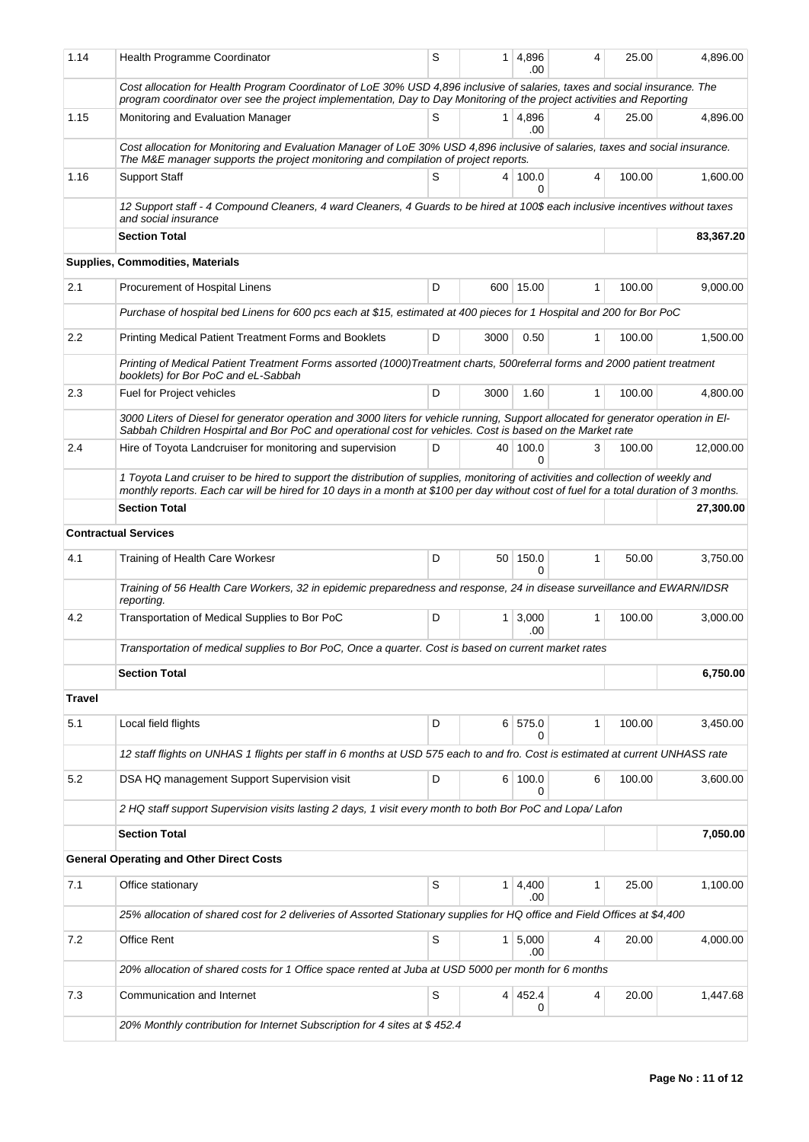| 1.14          | Health Programme Coordinator                                                                                                                                                                                                                         | S |                 | 1 4,896<br>.00      | 4 | 25.00  | 4.896.00  |
|---------------|------------------------------------------------------------------------------------------------------------------------------------------------------------------------------------------------------------------------------------------------------|---|-----------------|---------------------|---|--------|-----------|
|               | Cost allocation for Health Program Coordinator of LoE 30% USD 4,896 inclusive of salaries, taxes and social insurance. The<br>program coordinator over see the project implementation, Day to Day Monitoring of the project activities and Reporting |   |                 |                     |   |        |           |
| 1.15          | Monitoring and Evaluation Manager                                                                                                                                                                                                                    | S | 1 <sup>1</sup>  | 4.896<br>.00        | 4 | 25.00  | 4,896.00  |
|               | Cost allocation for Monitoring and Evaluation Manager of LoE 30% USD 4,896 inclusive of salaries, taxes and social insurance.<br>The M&E manager supports the project monitoring and compilation of project reports.                                 |   |                 |                     |   |        |           |
| 1.16          | <b>Support Staff</b>                                                                                                                                                                                                                                 | S |                 | 4 100.0<br>U.       | 4 | 100.00 | 1,600.00  |
|               | 12 Support staff - 4 Compound Cleaners, 4 ward Cleaners, 4 Guards to be hired at 100\$ each inclusive incentives without taxes<br>and social insurance                                                                                               |   |                 |                     |   |        |           |
|               | <b>Section Total</b>                                                                                                                                                                                                                                 |   |                 |                     |   |        | 83,367.20 |
|               | <b>Supplies, Commodities, Materials</b>                                                                                                                                                                                                              |   |                 |                     |   |        |           |
| 2.1           | Procurement of Hospital Linens                                                                                                                                                                                                                       | D |                 | 600 15.00           | 1 | 100.00 | 9,000.00  |
|               | Purchase of hospital bed Linens for 600 pcs each at \$15, estimated at 400 pieces for 1 Hospital and 200 for Bor PoC                                                                                                                                 |   |                 |                     |   |        |           |
| 2.2           | Printing Medical Patient Treatment Forms and Booklets                                                                                                                                                                                                | D | 3000            | 0.50                | 1 | 100.00 | 1,500.00  |
|               | Printing of Medical Patient Treatment Forms assorted (1000)Treatment charts, 500referral forms and 2000 patient treatment<br>booklets) for Bor PoC and eL-Sabbah                                                                                     |   |                 |                     |   |        |           |
| 2.3           | <b>Fuel for Project vehicles</b>                                                                                                                                                                                                                     | D | 3000            | 1.60                | 1 | 100.00 | 4,800.00  |
|               | 3000 Liters of Diesel for generator operation and 3000 liters for vehicle running, Support allocated for generator operation in El-<br>Sabbah Children Hospirtal and Bor PoC and operational cost for vehicles. Cost is based on the Market rate     |   |                 |                     |   |        |           |
| 2.4           | Hire of Toyota Landcruiser for monitoring and supervision                                                                                                                                                                                            | D | 40              | 100.0<br>$\Omega$   | 3 | 100.00 | 12,000.00 |
|               | 1 Toyota Land cruiser to be hired to support the distribution of supplies, monitoring of activities and collection of weekly and                                                                                                                     |   |                 |                     |   |        |           |
|               | monthly reports. Each car will be hired for 10 days in a month at \$100 per day without cost of fuel for a total duration of 3 months.<br><b>Section Total</b>                                                                                       |   |                 |                     |   |        | 27,300.00 |
|               | <b>Contractual Services</b>                                                                                                                                                                                                                          |   |                 |                     |   |        |           |
| 4.1           | Training of Health Care Workesr                                                                                                                                                                                                                      | D | 50 <sup>1</sup> | 150.0               | 1 | 50.00  | 3,750.00  |
|               |                                                                                                                                                                                                                                                      |   |                 | $\Omega$            |   |        |           |
|               | Training of 56 Health Care Workers, 32 in epidemic preparedness and response, 24 in disease surveillance and EWARN/IDSR<br>reporting.                                                                                                                |   |                 |                     |   |        |           |
| 4.2           | Transportation of Medical Supplies to Bor PoC                                                                                                                                                                                                        | D |                 | $1 \, 3,000$<br>.00 | 1 | 100.00 | 3,000.00  |
|               | Transportation of medical supplies to Bor PoC, Once a quarter. Cost is based on current market rates                                                                                                                                                 |   |                 |                     |   |        |           |
|               | <b>Section Total</b>                                                                                                                                                                                                                                 |   |                 |                     |   |        | 6,750.00  |
| <b>Travel</b> |                                                                                                                                                                                                                                                      |   |                 |                     |   |        |           |
| 5.1           | Local field flights                                                                                                                                                                                                                                  | D |                 | 6 575.0<br>0        | 1 | 100.00 | 3,450.00  |
|               | 12 staff flights on UNHAS 1 flights per staff in 6 months at USD 575 each to and fro. Cost is estimated at current UNHASS rate                                                                                                                       |   |                 |                     |   |        |           |
| 5.2           | DSA HQ management Support Supervision visit                                                                                                                                                                                                          | D |                 | 6 100.0<br>0        | 6 | 100.00 | 3,600.00  |
|               | 2 HQ staff support Supervision visits lasting 2 days, 1 visit every month to both Bor PoC and Lopa/ Lafon                                                                                                                                            |   |                 |                     |   |        |           |
|               | <b>Section Total</b>                                                                                                                                                                                                                                 |   |                 |                     |   |        | 7,050.00  |
|               | <b>General Operating and Other Direct Costs</b>                                                                                                                                                                                                      |   |                 |                     |   |        |           |
| 7.1           | Office stationary                                                                                                                                                                                                                                    | S | 1 <sup>1</sup>  | 4,400<br>.00.       | 1 | 25.00  | 1,100.00  |
|               | 25% allocation of shared cost for 2 deliveries of Assorted Stationary supplies for HQ office and Field Offices at \$4,400                                                                                                                            |   |                 |                     |   |        |           |
| 7.2           | <b>Office Rent</b>                                                                                                                                                                                                                                   | S | 1 <sup>1</sup>  | 5,000<br>.00        | 4 | 20.00  | 4,000.00  |
|               | 20% allocation of shared costs for 1 Office space rented at Juba at USD 5000 per month for 6 months                                                                                                                                                  |   |                 |                     |   |        |           |
| 7.3           | Communication and Internet                                                                                                                                                                                                                           | S |                 | 4 452.4<br>0        | 4 | 20.00  | 1,447.68  |
|               | 20% Monthly contribution for Internet Subscription for 4 sites at \$452.4                                                                                                                                                                            |   |                 |                     |   |        |           |